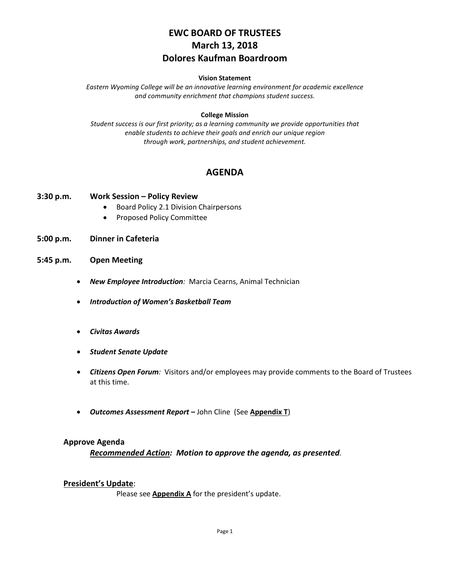# **EWC BOARD OF TRUSTEES March 13, 2018 Dolores Kaufman Boardroom**

#### **Vision Statement**

*Eastern Wyoming College will be an innovative learning environment for academic excellence and community enrichment that champions student success.*

## **College Mission**

*Student success is our first priority; as a learning community we provide opportunities that enable students to achieve their goals and enrich our unique region through work, partnerships, and student achievement.*

## **AGENDA**

## **3:30 p.m. Work Session – Policy Review**

- Board Policy 2.1 Division Chairpersons
- Proposed Policy Committee
- **5:00 p.m. Dinner in Cafeteria**
- **5:45 p.m. Open Meeting**
	- *New Employee Introduction:* Marcia Cearns, Animal Technician
	- *Introduction of Women's Basketball Team*
	- *Civitas Awards*
	- *Student Senate Update*
	- *Citizens Open Forum:* Visitors and/or employees may provide comments to the Board of Trustees at this time.
	- *Outcomes Assessment Report* **–** John Cline(See **Appendix T**)

## **Approve Agenda**

*Recommended Action: Motion to approve the agenda, as presented.*

## **President's Update**:

Please see **Appendix A** for the president's update.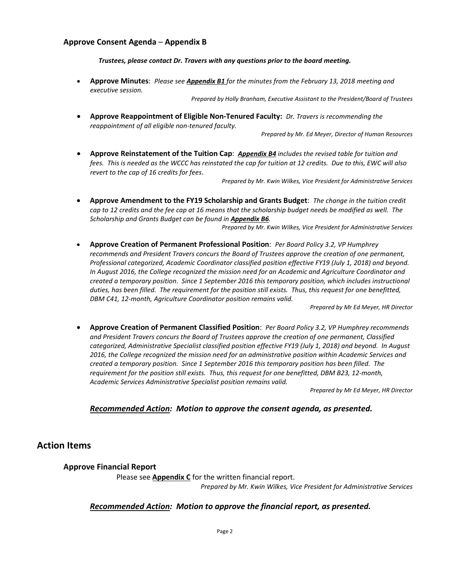## **Approve Consent Agenda** – **Appendix B**

*Trustees, please contact Dr. Travers with any questions prior to the board meeting.*

• **Approve Minutes**: *Please see Appendix B1 for the minutes from the February 13, 2018 meeting and executive session.*

*Prepared by Holly Branham, Executive Assistant to the President/Board of Trustees*

• **Approve Reappointment of Eligible Non-Tenured Faculty:** *Dr. Travers is recommending the reappointment of all eligible non-tenured faculty.*

*Prepared by Mr. Ed Meyer, Director of Human Resources* 

• **Approve Reinstatement of the Tuition Cap**: *Appendix B4 includes the revised table for tuition and fees. This is needed as the WCCC has reinstated the cap for tuition at 12 credits. Due to this, EWC will also revert to the cap of 16 credits for fees*.

*Prepared by Mr. Kwin Wilkes, Vice President for Administrative Services*

• **Approve Amendment to the FY19 Scholarship and Grants Budget**: *The change in the tuition credit cap to 12 credits and the fee cap at 16 means that the scholarship budget needs be modified as well. The Scholarship and Grants Budget can be found in Appendix B6.*

*Prepared by Mr. Kwin Wilkes, Vice President for Administrative Services*

• **Approve Creation of Permanent Professional Position**: *Per Board Policy 3.2, VP Humphrey recommends and President Travers concurs the Board of Trustees approve the creation of one permanent, Professional categorized, Academic Coordinator classified position effective FY19 (July 1, 2018) and beyond. In August 2016, the College recognized the mission need for an Academic and Agriculture Coordinator and created a temporary position. Since 1 September 2016 this temporary position, which includes instructional duties, has been filled. The requirement for the position still exists. Thus, this request for one benefitted, DBM C41, 12-month, Agriculture Coordinator position remains valid.*

*Prepared by Mr Ed Meyer, HR Director*

• **Approve Creation of Permanent Classified Position**: *Per Board Policy 3.2, VP Humphrey recommends and President Travers concurs the Board of Trustees approve the creation of one permanent, Classified categorized, Administrative Specialist classified position effective FY19 (July 1, 2018) and beyond. In August 2016, the College recognized the mission need for an administrative position within Academic Services and created a temporary position. Since 1 September 2016 this temporary position has been filled. The requirement for the position still exists. Thus, this request for one benefitted, DBM B23, 12-month, Academic Services Administrative Specialist position remains valid.*

*Prepared by Mr Ed Meyer, HR Director*

## *Recommended Action: Motion to approve the consent agenda, as presented.*

**Action Items**

## **Approve Financial Report**

Please see **Appendix C** for the written financial report.

*Prepared by Mr. Kwin Wilkes, Vice President for Administrative Services*

## *Recommended Action: Motion to approve the financial report, as presented.*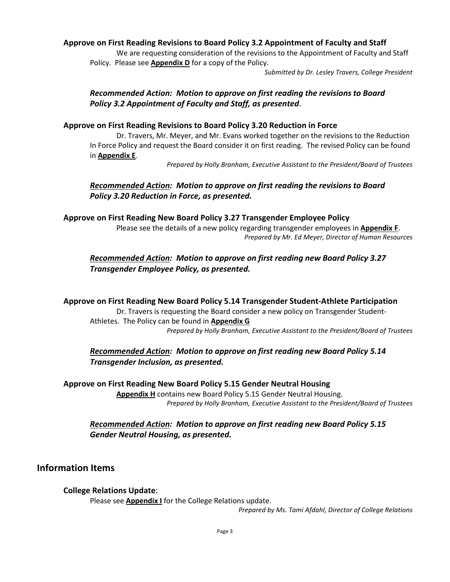## **Approve on First Reading Revisions to Board Policy 3.2 Appointment of Faculty and Staff**

We are requesting consideration of the revisions to the Appointment of Faculty and Staff Policy. Please see **Appendix D** for a copy of the Policy.

*Submitted by Dr. Lesley Travers, College President*

## *Recommended Action: Motion to approve on first reading the revisions to Board Policy 3.2 Appointment of Faculty and Staff, as presented*.

## **Approve on First Reading Revisions to Board Policy 3.20 Reduction in Force**

Dr. Travers, Mr. Meyer, and Mr. Evans worked together on the revisions to the Reduction In Force Policy and request the Board consider it on first reading. The revised Policy can be found in **Appendix E**.

*Prepared by Holly Branham, Executive Assistant to the President/Board of Trustees*

*Recommended Action: Motion to approve on first reading the revisions to Board Policy 3.20 Reduction in Force, as presented.*

**Approve on First Reading New Board Policy 3.27 Transgender Employee Policy**

Please see the details of a new policy regarding transgender employees in **Appendix F**. *Prepared by Mr. Ed Meyer, Director of Human Resources*

*Recommended Action: Motion to approve on first reading new Board Policy 3.27 Transgender Employee Policy, as presented.*

**Approve on First Reading New Board Policy 5.14 Transgender Student-Athlete Participation** Dr. Travers is requesting the Board consider a new policy on Transgender Student-

Athletes. The Policy can be found in **Appendix G** *Prepared by Holly Branham, Executive Assistant to the President/Board of Trustees*

## *Recommended Action: Motion to approve on first reading new Board Policy 5.14 Transgender Inclusion, as presented.*

**Approve on First Reading New Board Policy 5.15 Gender Neutral Housing Appendix H** contains new Board Policy 5.15 Gender Neutral Housing. *Prepared by Holly Branham, Executive Assistant to the President/Board of Trustees*

## *Recommended Action: Motion to approve on first reading new Board Policy 5.15 Gender Neutral Housing, as presented.*

## **Information Items**

## **College Relations Update**:

Please see **Appendix I** for the College Relations update.

*Prepared by Ms. Tami Afdahl, Director of College Relations*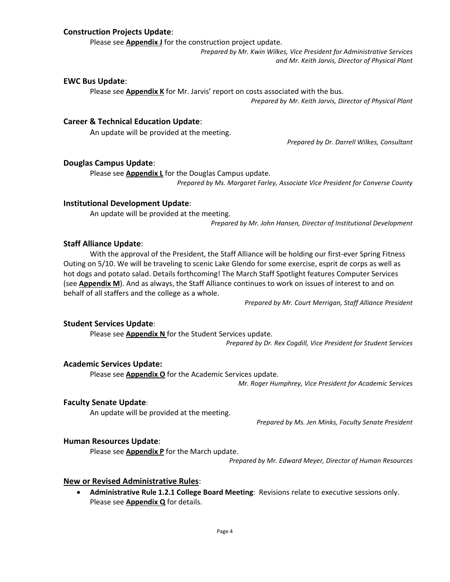## **Construction Projects Update**:

Please see **Appendix J** for the construction project update.

*Prepared by Mr. Kwin Wilkes, Vice President for Administrative Services and Mr. Keith Jarvis, Director of Physical Plant*

#### **EWC Bus Update**:

Please see **Appendix K** for Mr. Jarvis' report on costs associated with the bus. *Prepared by Mr. Keith Jarvis, Director of Physical Plant*

## **Career & Technical Education Update**:

An update will be provided at the meeting.

*Prepared by Dr. Darrell Wilkes, Consultant*

#### **Douglas Campus Update**:

Please see **Appendix L** for the Douglas Campus update. *Prepared by Ms. Margaret Farley, Associate Vice President for Converse County*

#### **Institutional Development Update**:

An update will be provided at the meeting.

*Prepared by Mr. John Hansen, Director of Institutional Development*

#### **Staff Alliance Update**:

With the approval of the President, the Staff Alliance will be holding our first-ever Spring Fitness Outing on 5/10. We will be traveling to scenic Lake Glendo for some exercise, esprit de corps as well as hot dogs and potato salad. Details forthcoming! The March Staff Spotlight features Computer Services (see **Appendix M**). And as always, the Staff Alliance continues to work on issues of interest to and on behalf of all staffers and the college as a whole.

*Prepared by Mr. Court Merrigan, Staff Alliance President*

#### **Student Services Update**:

Please see **Appendix N** for the Student Services update.

*Prepared by Dr. Rex Cogdill, Vice President for Student Services*

### **Academic Services Update:**

Please see **Appendix O** for the Academic Services update.

*Mr. Roger Humphrey, Vice President for Academic Services*

## **Faculty Senate Update**:

An update will be provided at the meeting.

*Prepared by Ms. Jen Minks, Faculty Senate President*

## **Human Resources Update**:

Please see **Appendix P** for the March update.

*Prepared by Mr. Edward Meyer, Director of Human Resources*

#### **New or Revised Administrative Rules**:

• **Administrative Rule 1.2.1 College Board Meeting**: Revisions relate to executive sessions only. Please see **Appendix Q** for details.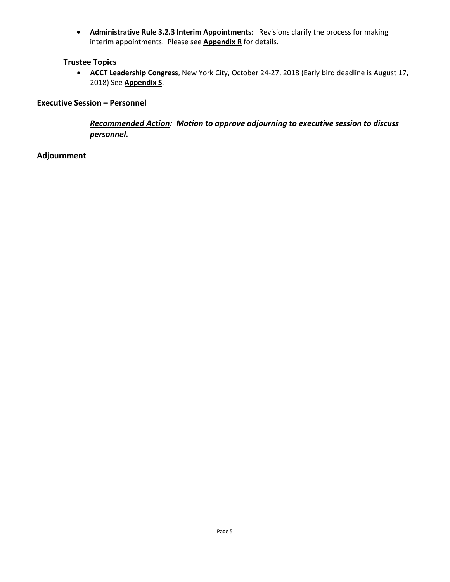• **Administrative Rule 3.2.3 Interim Appointments**: Revisions clarify the process for making interim appointments. Please see **Appendix R** for details.

## **Trustee Topics**

• **ACCT Leadership Congress**, New York City, October 24-27, 2018 (Early bird deadline is August 17, 2018) See **Appendix S**.

## **Executive Session – Personnel**

*Recommended Action: Motion to approve adjourning to executive session to discuss personnel.*

## **Adjournment**